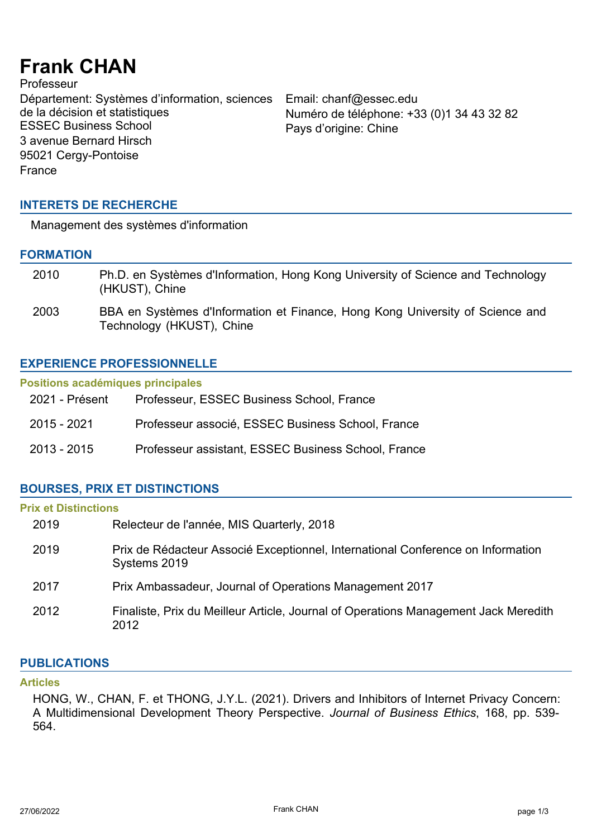# **Frank CHAN**

**Professeur** Département: Systèmes d'information, sciences de la décision et statistiques<br>ESSEC Business School 3 avenue Bernard Hirsch 95021 Cergy-Pontoise France

Email: chanf@essec.edu Numéro de téléphone: +33 (0)1 34 43 32 82 Pays d'origine: Chine

# **INTERETS DE RECHERCHE**

Management des systèmes d'information

# **FORMATION**

| 2010 | Ph.D. en Systèmes d'Information, Hong Kong University of Science and Technology<br>(HKUST), Chine          |
|------|------------------------------------------------------------------------------------------------------------|
| 2003 | BBA en Systèmes d'Information et Finance, Hong Kong University of Science and<br>Technology (HKUST), Chine |

# **EXPERIENCE PROFESSIONNELLE**

#### **Positions académiques principales**

| 2021 - Présent | Professeur, ESSEC Business School, France           |
|----------------|-----------------------------------------------------|
| 2015 - 2021    | Professeur associé, ESSEC Business School, France   |
| 2013 - 2015    | Professeur assistant, ESSEC Business School, France |

# **BOURSES, PRIX ET DISTINCTIONS**

# **Prix et Distinctions**

| 2019 | Relecteur de l'année, MIS Quarterly, 2018                                                       |
|------|-------------------------------------------------------------------------------------------------|
| 2019 | Prix de Rédacteur Associé Exceptionnel, International Conference on Information<br>Systems 2019 |
| 2017 | Prix Ambassadeur, Journal of Operations Management 2017                                         |
| 2012 | Finaliste, Prix du Meilleur Article, Journal of Operations Management Jack Meredith<br>2012     |

# **PUBLICATIONS**

#### **Articles**

HONG, W., CHAN, F. et THONG, J.Y.L. (2021). Drivers and Inhibitors of Internet Privacy Concern: A Multidimensional Development Theory Perspective. *Journal of Business Ethics*, 168, pp. 539- 564.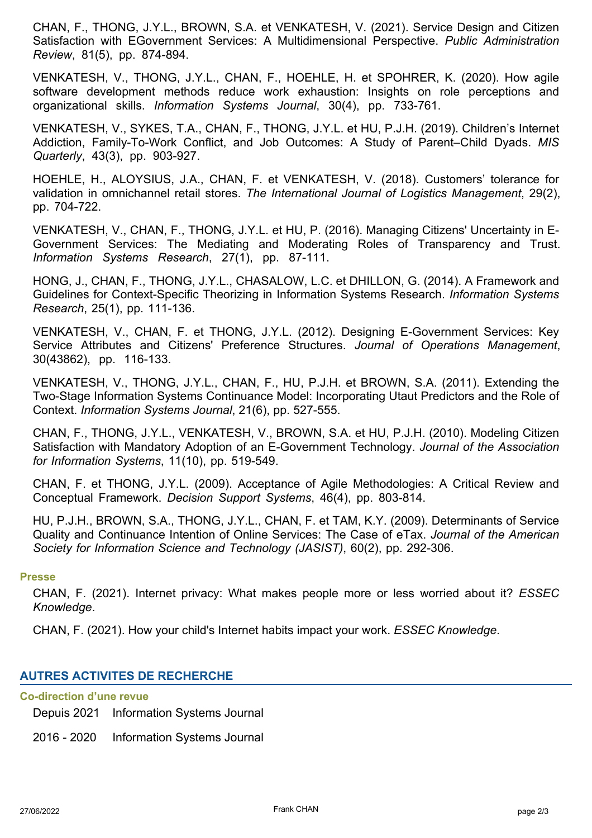CHAN, F., THONG, J.Y.L., BROWN, S.A. et VENKATESH, V. (2021). Service Design and Citizen Satisfaction with EGovernment Services: A Multidimensional Perspective. *Public Administration Review*, 81(5), pp. 874-894.

VENKATESH, V., THONG, J.Y.L., CHAN, F., HOEHLE, H. et SPOHRER, K. (2020). How agile software development methods reduce work exhaustion: Insights on role perceptions and organizational skills. *Information Systems Journal*, 30(4), pp. 733-761.

VENKATESH, V., SYKES, T.A., CHAN, F., THONG, J.Y.L. et HU, P.J.H. (2019). Children's Internet Addiction, Family-To-Work Conflict, and Job Outcomes: A Study of Parent–Child Dyads. *MIS Quarterly*, 43(3), pp. 903-927.

HOEHLE, H., ALOYSIUS, J.A., CHAN, F. et VENKATESH, V. (2018). Customers' tolerance for validation in omnichannel retail stores. *The International Journal of Logistics Management*, 29(2), pp. 704-722.

VENKATESH, V., CHAN, F., THONG, J.Y.L. et HU, P. (2016). Managing Citizens' Uncertainty in E-Government Services: The Mediating and Moderating Roles of Transparency and Trust. *Information Systems Research*, 27(1), pp. 87-111.

HONG, J., CHAN, F., THONG, J.Y.L., CHASALOW, L.C. et DHILLON, G. (2014). A Framework and Guidelines for Context-Specific Theorizing in Information Systems Research. *Information Systems Research*, 25(1), pp. 111-136.

VENKATESH, V., CHAN, F. et THONG, J.Y.L. (2012). Designing E-Government Services: Key Service Attributes and Citizens' Preference Structures. *Journal of Operations Management*, 30(43862), pp. 116-133.

VENKATESH, V., THONG, J.Y.L., CHAN, F., HU, P.J.H. et BROWN, S.A. (2011). Extending the Two-Stage Information Systems Continuance Model: Incorporating Utaut Predictors and the Role of Context. *Information Systems Journal*, 21(6), pp. 527-555.

CHAN, F., THONG, J.Y.L., VENKATESH, V., BROWN, S.A. et HU, P.J.H. (2010). Modeling Citizen Satisfaction with Mandatory Adoption of an E-Government Technology. *Journal of the Association for Information Systems*, 11(10), pp. 519-549.

CHAN, F. et THONG, J.Y.L. (2009). Acceptance of Agile Methodologies: A Critical Review and Conceptual Framework. *Decision Support Systems*, 46(4), pp. 803-814.

HU, P.J.H., BROWN, S.A., THONG, J.Y.L., CHAN, F. et TAM, K.Y. (2009). Determinants of Service Quality and Continuance Intention of Online Services: The Case of eTax. *Journal of the American Society for Information Science and Technology (JASIST)*, 60(2), pp. 292-306.

#### **Presse**

CHAN, F. (2021). Internet privacy: What makes people more or less worried about it? *ESSEC Knowledge*.

CHAN, F. (2021). How your child's Internet habits impact your work. *ESSEC Knowledge*.

# **AUTRES ACTIVITES DE RECHERCHE**

# **Co-direction d'une revue**

Depuis 2021 Information Systems Journal

2016 - 2020 Information Systems Journal